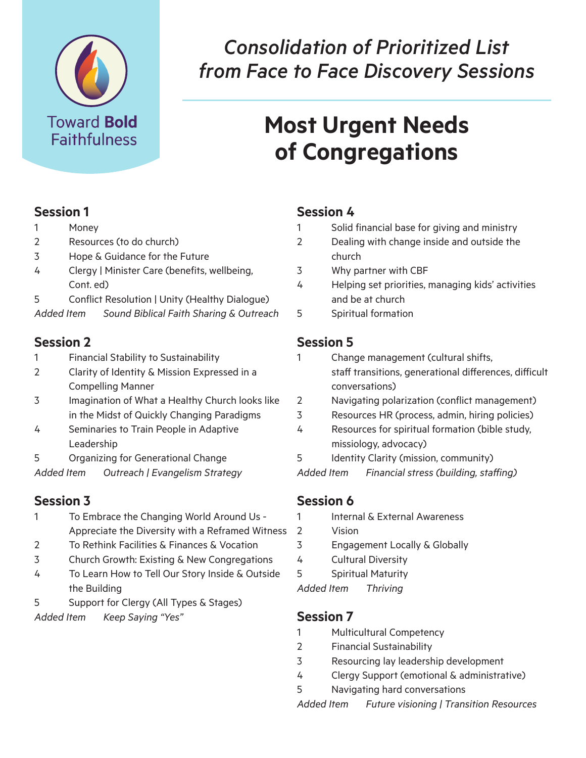

## *Consolidation of Prioritized List from Face to Face Discovery Sessions*

# **Most Urgent Needs of Congregations**

#### **Session 1**

- 1 Money
- 2 Resources (to do church)
- 3 Hope & Guidance for the Future
- 4 Clergy | Minister Care (benefits, wellbeing, Cont. ed)
- 5 Conflict Resolution | Unity (Healthy Dialogue)
- *Added Item Sound Biblical Faith Sharing & Outreach*

## **Session 2**

- 1 Financial Stability to Sustainability
- 2 Clarity of Identity & Mission Expressed in a Compelling Manner
- 3 Imagination of What a Healthy Church looks like in the Midst of Quickly Changing Paradigms
- 4 Seminaries to Train People in Adaptive Leadership
- 5 Organizing for Generational Change
- *Added Item Outreach | Evangelism Strategy*

## **Session 3**

- 1 To Embrace the Changing World Around Us - Appreciate the Diversity with a Reframed Witness
- 2 To Rethink Facilities & Finances & Vocation
- 3 Church Growth: Existing & New Congregations
- 4 To Learn How to Tell Our Story Inside & Outside the Building
- 5 Support for Clergy (All Types & Stages)
- *Added Item Keep Saying "Yes"*

## **Session 4**

- Solid financial base for giving and ministry
- 2 Dealing with change inside and outside the church
- 3 Why partner with CBF
- 4 Helping set priorities, managing kids' activities and be at church
- 5 Spiritual formation

## **Session 5**

- 1 Change management (cultural shifts, staff transitions, generational differences, difficult conversations)
- 2 Navigating polarization (conflict management)
- 3 Resources HR (process, admin, hiring policies)
- 4 Resources for spiritual formation (bible study, missiology, advocacy)
- 5 Identity Clarity (mission, community)
- *Added Item Financial stress (building, staffing)*

## **Session 6**

- 1 Internal & External Awareness
- 2 Vision
- 3 Engagement Locally & Globally
- 4 Cultural Diversity
- 5 Spiritual Maturity

#### *Added Item Thriving*

### **Session 7**

- 1 Multicultural Competency
- 2 Financial Sustainability
- 3 Resourcing lay leadership development
- 4 Clergy Support (emotional & administrative)
- 5 Navigating hard conversations

*Added Item Future visioning | Transition Resources*